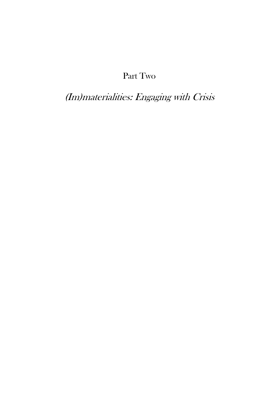# Part Two

(Im)materialities: Engaging with Crisis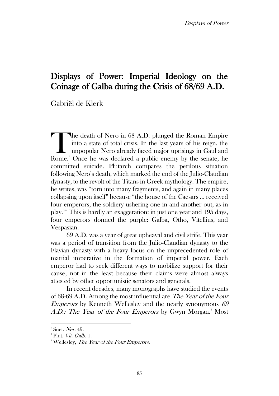## Displays of Power: Imperial Ideology on the Coinage of Galba during the Crisis of 68/69 A.D.

Gabriël de Klerk

he death of Nero in 68 A.D. plunged the Roman Empire into a state of total crisis. In the last years of his reign, the unpopular Nero already faced major uprisings in Gaul and The death of Nero in 68 A.D. plunged the Roman Empire<br>into a state of total crisis. In the last years of his reign, the<br>unpopular Nero already faced major uprisings in Gaul and<br>Rome.<sup>1</sup> Once he was declared a public enemy committed suicide. Plutarch compares the perilous situation following Nero's death, which marked the end of the Julio-Claudian dynasty, to the revolt of the Titans in Greek mythology. The empire, he writes, was "torn into many fragments, and again in many places collapsing upon itself" because "the house of the Caesars … received four emperors, the soldiery ushering one in and another out, as in play." <sup>2</sup> This is hardly an exaggeration: in just one year and 195 days, four emperors donned the purple: Galba, Otho, Vitellius, and Vespasian.

69 A.D. was a year of great upheaval and civil strife. This year was a period of transition from the Julio-Claudian dynasty to the Flavian dynasty with a heavy focus on the unprecedented role of martial imperative in the formation of imperial power. Each emperor had to seek different ways to mobilize support for their cause, not in the least because their claims were almost always attested by other opportunistic senators and generals.

In recent decades, many monographs have studied the events of 68-69 A.D. Among the most influential are The Year of the Four *Emperors* by Kenneth Wellesley and the nearly synonymous  $69$ A.D.: The Year of the Four Emperors by Gwyn Morgan.<sup>3</sup> Most

 $<sup>1</sup>$  Suet. Ner. 49.</sup>

<sup>&</sup>lt;sup>2</sup> Plut. *Vit. Galb.* 1.

<sup>&</sup>lt;sup>3</sup> Wellesley, *The Year of the Four Emperors*.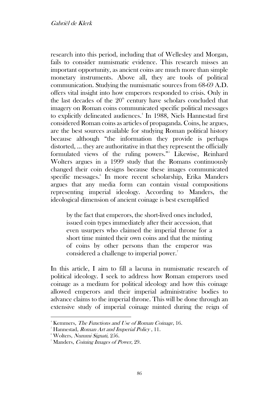research into this period, including that of Wellesley and Morgan, fails to consider numismatic evidence. This research misses an important opportunity, as ancient coins are much more than simple monetary instruments. Above all, they are tools of political communication. Studying the numismatic sources from 68-69 A.D. offers vital insight into how emperors responded to crisis. Only in the last decades of the  $20<sup>th</sup>$  century have scholars concluded that imagery on Roman coins communicated specific political messages to explicitly delineated audiences.<sup>4</sup> In 1988, Niels Hannestad first considered Roman coins as articles of propaganda. Coins, he argues, are the best sources available for studying Roman political history because although "the information they provide is perhaps distorted, … they are authoritative in that they represent the officially formulated views of the ruling powers." 5 Likewise, Reinhard Wolters argues in a 1999 study that the Romans continuously changed their coin designs because these images communicated specific messages.<sup>6</sup> In more recent scholarship, Erika Manders argues that any media form can contain visual compositions representing imperial ideology. According to Manders, the ideological dimension of ancient coinage is best exemplified

by the fact that emperors, the short-lived ones included, issued coin types immediately after their accession, that even usurpers who claimed the imperial throne for a short time minted their own coins and that the minting of coins by other persons than the emperor was considered a challenge to imperial power.<sup>7</sup>

In this article, I aim to fill a lacuna in numismatic research of political ideology. I seek to address how Roman emperors used coinage as a medium for political ideology and how this coinage allowed emperors and their imperial administrative bodies to advance claims to the imperial throne. This will be done through an extensive study of imperial coinage minted during the reign of

<sup>&</sup>lt;sup>4</sup> Kemmers, *The Functions and Use of Roman Coinage*, 16.

<sup>&</sup>lt;sup>5</sup> Hannestad, *Roman Art and Imperial Policy*, 11.

<sup>&</sup>lt;sup>6</sup> Wolters, Nummi Signati, 256.

<sup>&</sup>lt;sup>7</sup> Manders, *Coining Images of Power*, 29.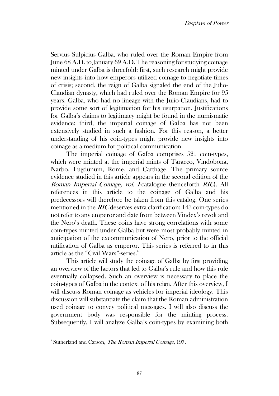Servius Sulpicius Galba, who ruled over the Roman Empire from June 68 A.D. to January 69 A.D. The reasoning for studying coinage minted under Galba is threefold: first, such research might provide new insights into how emperors utilized coinage to negotiate times of crisis; second, the reign of Galba signaled the end of the Julio-Claudian dynasty, which had ruled over the Roman Empire for 95 years. Galba, who had no lineage with the Julio-Claudians, had to provide some sort of legitimation for his usurpation. Justifications for Galba's claims to legitimacy might be found in the numismatic evidence; third, the imperial coinage of Galba has not been extensively studied in such a fashion. For this reason, a better understanding of his coin-types might provide new insights into coinage as a medium for political communication.

The imperial coinage of Galba comprises 521 coin-types, which were minted at the imperial mints of Taracco, Vindobona, Narbo, Lugdunum, Rome, and Carthage. The primary source evidence studied in this article appears in the second edition of the Roman Imperial Coinage, vol. I-catalogue (henceforth RIC). All references in this article to the coinage of Galba and his predecessors will therefore be taken from this catalog. One series mentioned in the RIC deserves extra clarification: 143 coin-types do not refer to any emperor and date from between Vindex's revolt and the Nero's death. These coins have strong correlations with some coin-types minted under Galba but were most probably minted in anticipation of the excommunication of Nero, prior to the official ratification of Galba as emperor. This series is referred to in this article as the "Civil Wars"-series.<sup>8</sup>

This article will study the coinage of Galba by first providing an overview of the factors that led to Galba's rule and how this rule eventually collapsed. Such an overview is necessary to place the coin-types of Galba in the context of his reign. After this overview, I will discuss Roman coinage as vehicles for imperial ideology. This discussion will substantiate the claim that the Roman administration used coinage to convey political messages. I will also discuss the government body was responsible for the minting process. Subsequently, I will analyze Galba's coin-types by examining both

<sup>&</sup>lt;sup>8</sup> Sutherland and Carson, The Roman Imperial Coinage, 197.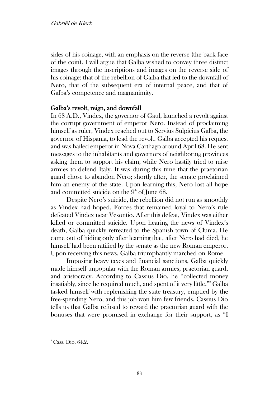sides of his coinage, with an emphasis on the reverse (the back face of the coin). I will argue that Galba wished to convey three distinct images through the inscriptions and images on the reverse side of his coinage: that of the rebellion of Galba that led to the downfall of Nero, that of the subsequent era of internal peace, and that of Galba's competence and magnanimity.

## Galba's revolt, reign, and downfall

In 68 A.D., Vindex, the governor of Gaul, launched a revolt against the corrupt government of emperor Nero. Instead of proclaiming himself as ruler, Vindex reached out to Servius Sulpicius Galba, the governor of Hispania, to lead the revolt. Galba accepted his request and was hailed emperor in Nova Carthago around April 68. He sent messages to the inhabitants and governors of neighboring provinces asking them to support his claim, while Nero hastily tried to raise armies to defend Italy. It was during this time that the praetorian guard chose to abandon Nero; shortly after, the senate proclaimed him an enemy of the state. Upon learning this, Nero lost all hope and committed suicide on the  $9<sup>th</sup>$  of June 68.

Despite Nero's suicide, the rebellion did not run as smoothly as Vindex had hoped. Forces that remained loyal to Nero's rule defeated Vindex near Vesontio. After this defeat, Vindex was either killed or committed suicide. Upon hearing the news of Vindex's death, Galba quickly retreated to the Spanish town of Clunia. He came out of hiding only after learning that, after Nero had died, he himself had been ratified by the senate as the new Roman emperor. Upon receiving this news, Galba triumphantly marched on Rome.

Imposing heavy taxes and financial sanctions, Galba quickly made himself unpopular with the Roman armies, praetorian guard, and aristocracy. According to Cassius Dio, he "collected money insatiably, since he required much, and spent of it very little." <sup>9</sup> Galba tasked himself with replenishing the state treasury, emptied by the free-spending Nero, and this job won him few friends. Cassius Dio tells us that Galba refused to reward the praetorian guard with the bonuses that were promised in exchange for their support, as "I

 $\degree$  Cass. Dio, 64.2.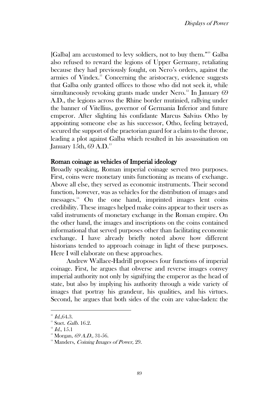[Galba] am accustomed to levy soldiers, not to buy them."<sup>10</sup> Galba also refused to reward the legions of Upper Germany, retaliating because they had previously fought, on Nero's orders, against the armies of Vindex.<sup>11</sup> Concerning the aristocracy, evidence suggests that Galba only granted offices to those who did not seek it, while simultaneously revoking grants made under Nero.<sup>12</sup> In January 69 A.D., the legions across the Rhine border mutinied, rallying under the banner of Vitellius, governor of Germania Inferior and future emperor. After slighting his confidante Marcus Salvius Otho by appointing someone else as his successor, Otho, feeling betrayed, secured the support of the praetorian guard for a claim to the throne, leading a plot against Galba which resulted in his assassination on January 15th,  $69$  A.D.<sup>13</sup>

### Roman coinage as vehicles of Imperial ideology

Broadly speaking, Roman imperial coinage served two purposes. First, coins were monetary units functioning as means of exchange. Above all else, they served as economic instruments. Their second function, however, was as vehicles for the distribution of images and messages.<sup>14</sup> On the one hand, imprinted images lent coins credibility. These images helped make coins appear to their users as valid instruments of monetary exchange in the Roman empire. On the other hand, the images and inscriptions on the coins contained informational that served purposes other than facilitating economic exchange. I have already briefly noted above how different historians tended to approach coinage in light of these purposes. Here I will elaborate on these approaches.

Andrew Wallace-Hadrill proposes four functions of imperial coinage. First, he argues that obverse and reverse images convey imperial authority not only by signifying the emperor as the head of state, but also by implying his authority through a wide variety of images that portray his grandeur, his qualities, and his virtues. Second, he argues that both sides of the coin are value-laden: the

 $10$  Id., 64.3.

 $11$  Suet. *Galb.* 16.2.

 $12$  Id., 15.1

 $13$  Morgan, 69 A.D., 31-56.

 $14$  Manders, *Coining Images of Power*, 29.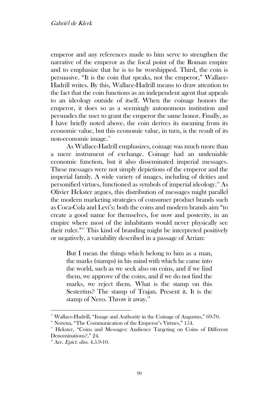emperor and any references made to him serve to strengthen the narrative of the emperor as the focal point of the Roman empire and to emphasize that he is to be worshipped. Third, the coin is persuasive. "It is the coin that speaks, not the emperor," Wallace-Hadrill writes. By this, Wallace-Hadrill means to draw attention to the fact that the coin functions as an independent agent that appeals to an ideology outside of itself. When the coinage honors the emperor, it does so as a seemingly autonomous institution and persuades the user to grant the emperor the same honor. Finally, as I have briefly noted above, the coin derives its meaning from its economic value, but this economic value, in turn, is the result of its non-economic image.<sup>15</sup>

As Wallace-Hadrill emphasizes, coinage was much more than a mere instrument of exchange. Coinage had an undeniable economic function, but it also disseminated imperial messages. These messages were not simply depictions of the emperor and the imperial family. A wide variety of images, including of deities and personified virtues, functioned as symbols of imperial ideology.<sup>16</sup> As Olivier Hekster argues, this distribution of messages might parallel the modern marketing strategies of consumer product brands such as Coca-Cola and Levi's: both the coins and modern brands aim "to create a good name for themselves, for now and posterity, in an empire where most of the inhabitants would never physically see their ruler." <sup>17</sup> This kind of branding might be interpreted positively or negatively, a variability described in a passage of Arrian:

But I mean the things which belong to him as a man, the marks (stamps) in his mind with which he came into the world, such as we seek also on coins, and if we find them, we approve of the coins, and if we do not find the marks, we reject them. What is the stamp on this Sestertius? The stamp of Trajan. Present it. It is the stamp of Nero. Throw it away.<sup>18</sup>

<sup>&</sup>lt;sup>15</sup> Wallace-Hadrill, "Image and Authority in the Coinage of Augustus," 69-70.

 $16$  Norena, "The Communication of the Emperor's Virtues," 154.

<sup>&</sup>lt;sup>17</sup> Hekster, "Coins and Messages: Audience Targeting on Coins of Different Denominations?," 24.

 $18$  Arr. *Epict. diss.* 4.5.9-10.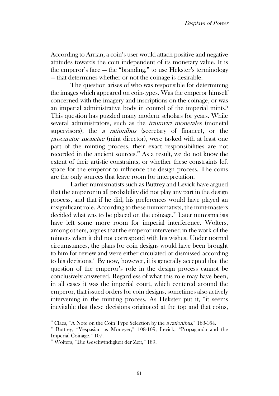According to Arrian, a coin's user would attach positive and negative attitudes towards the coin independent of its monetary value. It is the emperor's face — the "branding," to use Hekster's terminology — that determines whether or not the coinage is desirable.

The question arises of who was responsible for determining the images which appeared on coin-types. Was the emperor himself concerned with the imagery and inscriptions on the coinage, or was an imperial administrative body in control of the imperial mints? This question has puzzled many modern scholars for years. While several administrators, such as the *triumviri monetales* (monetal supervisors), the *a rationibus* (secretary of finance), or the procurator monetae (mint director), were tasked with at least one part of the minting process, their exact responsibilities are not recorded in the ancient sources.<sup>19</sup> As a result, we do not know the extent of their artistic constraints, or whether these constraints left space for the emperor to influence the design process. The coins are the only sources that leave room for interpretation.

Earlier numismatists such as Buttrey and Levick have argued that the emperor in all probability did not play any part in the design process, and that if he did, his preferences would have played an insignificant role. According to these numismatists, the mint-masters decided what was to be placed on the coinage.<sup>20</sup> Later numismatists have left some more room for imperial interference. Wolters, among others, argues that the emperor intervened in the work of the minters when it did not correspond with his wishes. Under normal circumstances, the plans for coin designs would have been brought to him for review and were either circulated or dismissed according to his decisions.<sup>21</sup> By now, however, it is generally accepted that the question of the emperor's role in the design process cannot be conclusively answered. Regardless of what this role may have been, in all cases it was the imperial court, which centered around the emperor, that issued orders for coin designs, sometimes also actively intervening in the minting process. As Hekster put it, "it seems inevitable that these decisions originated at the top and that coins,

<sup>&</sup>lt;sup>19</sup> Claes, "A Note on the Coin Type Selection by the *a rationibus*," 163-164.

<sup>&</sup>lt;sup>20</sup> Buttrey, "Vespasian as Moneyer," 108-109; Levick, "Propaganda and the Imperial Coinage," 107.

<sup>&</sup>lt;sup>21</sup> Wolters, "Die Geschwindigkeit der Zeit," 189.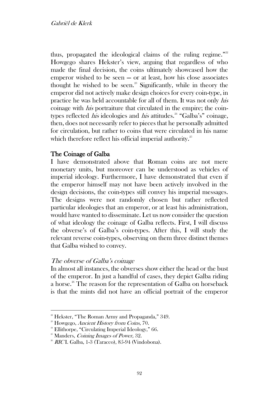thus, propagated the ideological claims of the ruling regime."<sup>22</sup> Howgego shares Hekster's view, arguing that regardless of who made the final decision, the coins ultimately showcased how the emperor wished to be seen — or at least, how his close associates thought he wished to be seen.<sup>23</sup> Significantly, while in theory the emperor did not actively make design choices for every coin-type, in practice he was held accountable for all of them. It was not only his coinage with his portraiture that circulated in the empire; the cointypes reflected *his* ideologies and *his* attitudes.<sup>24</sup> "Galba's" coinage, then, does not necessarily refer to pieces that he personally admitted for circulation, but rather to coins that were circulated in his name which therefore reflect his official imperial authority.<sup>25</sup>

## The Coinage of Galba

I have demonstrated above that Roman coins are not mere monetary units, but moreover can be understood as vehicles of imperial ideology. Furthermore, I have demonstrated that even if the emperor himself may not have been actively involved in the design decisions, the coin-types still convey his imperial messages. The designs were not randomly chosen but rather reflected particular ideologies that an emperor, or at least his administration, would have wanted to disseminate. Let us now consider the question of what ideology the coinage of Galba reflects. First, I will discuss the obverse's of Galba's coin-types. After this, I will study the relevant reverse coin-types, observing on them three distinct themes that Galba wished to convey.

## The obverse of Galba's coinage

In almost all instances, the obverses show either the head or the bust of the emperor. In just a handful of cases, they depict Galba riding a horse.<sup>26</sup> The reason for the representation of Galba on horseback is that the mints did not have an official portrait of the emperor

<sup>&</sup>lt;sup>22</sup> Hekster, "The Roman Army and Propaganda," 349.

 $2<sup>23</sup>$  Howgego, Ancient History from Coins, 70.

 $24$  Ellithorpe, "Circulating Imperial Ideology," 66.

 $25$  Manders, *Coining Images of Power*, 32.

 $^{26}$  RICI. Galba, 1-3 (Taracco), 85-94 (Vindobona).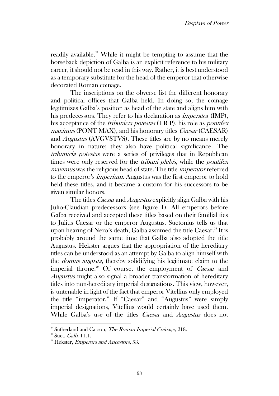readily available.<sup>27</sup> While it might be tempting to assume that the horseback depiction of Galba is an explicit reference to his military career, it should not be read in this way. Rather, it is best understood as a temporary substitute for the head of the emperor that otherwise decorated Roman coinage.

The inscriptions on the obverse list the different honorary and political offices that Galba held. In doing so, the coinage legitimizes Galba's position as head of the state and aligns him with his predecessors. They refer to his declaration as imperator (IMP), his acceptance of the *tribunicia potestas* (TR P), his role as *pontifex* maximus (PONT MAX), and his honorary titles *Caesar* (CAESAR) and Augustus (AVGVSTVS). These titles are by no means merely honorary in nature; they also have political significance. The tribunicia potestas were a series of privileges that in Republican times were only reserved for the *tribuni plebis*, while the *pontifex* maximus was the religious head of state. The title imperator referred to the emperor's imperium. Augustus was the first emperor to hold held these titles, and it became a custom for his successors to be given similar honors.

The titles *Caesar* and *Augustus* explicitly align Galba with his Julio-Claudian predecessors (see figure 1). All emperors before Galba received and accepted these titles based on their familial ties to Julius Caesar or the emperor Augustus. Suetonius tells us that upon hearing of Nero's death, Galba assumed the title Caesar.<sup>28</sup> It is probably around the same time that Galba also adopted the title Augustus. Hekster argues that the appropriation of the hereditary titles can be understood as an attempt by Galba to align himself with the domus augusta, thereby solidifying his legitimate claim to the imperial throne.<sup>29</sup> Of course, the employment of *Caesar* and Augustus might also signal a broader transformation of hereditary titles into non-hereditary imperial designations. This view, however, is untenable in light of the fact that emperor Vitellius only employed the title "imperator." If "Caesar" and "Augustus" were simply imperial designations, Vitellius would certainly have used them. While Galba's use of the titles *Caesar* and *Augustus* does not

<sup>&</sup>lt;sup>27</sup> Sutherland and Carson, *The Roman Imperial Coinage*, 218.

 $28$  Suet. *Galb.* 11.1.

 $2^{\circ}$  Hekster, *Emperors and Ancestors*, 53.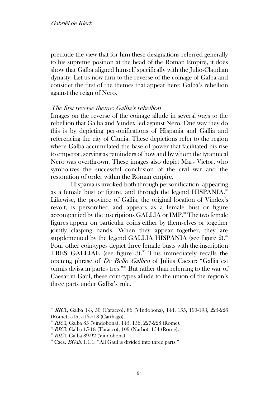preclude the view that for him these designations referred generally to his supreme position at the head of the Roman Empire, it does show that Galba aligned himself specifically with the Julio-Claudian dynasty. Let us now turn to the reverse of the coinage of Galba and consider the first of the themes that appear here: Galba's rebellion against the reign of Nero.

#### The first reverse theme: Galba's rebellion

Images on the reverse of the coinage allude in several ways to the rebellion that Galba and Vindex led against Nero. One way they do this is by depicting personifications of Hispania and Gallia and referencing the city of Clunia. These depictions refer to the region where Galba accumulated the base of power that facilitated his rise to emperor, serving as reminders of how and by whom the tyrannical Nero was overthrown. These images also depict Mars Victor, who symbolizes the successful conclusion of the civil war and the restoration of order within the Roman empire.

Hispania is invoked both through personification, appearing as a female bust or figure, and through the legend HISPANIA.<sup>30</sup> Likewise, the province of Gallia, the original location of Vindex's revolt, is personified and appears as a female bust or figure accompanied by the inscriptions GALLIA or IMP.<sup>31</sup> The two female figures appear on particular coins either by themselves or together jointly clasping hands. When they appear together, they are supplemented by the legend GALLIA HISPANIA (see figure 2).<sup>32</sup> Four other coin-types depict three female busts with the inscription TRES GALLIAE (see figure 3).<sup>33</sup> This immediately recalls the opening phrase of De Bello Gallico of Julius Caesar: "Gallia est omnis divisa in partes tres." <sup>34</sup> But rather than referring to the war of Caesar in Gaul, these coin-types allude to the union of the region's three parts under Galba's rule.

<sup>30</sup> RICI, Galba 1-3, 50 (Taracco), 86 (VIndobona), 144, 155, 190-193, 225-226 (Rome), 515, 516-518 (Carthago).

 $31$  RICI, Galba 85 (Vindobona), 145, 156, 227-228 (Rome).

 $2^2$  RICI, Galba 15-18 (Taracco), 109 (Narbo), 154 (Rome).

<sup>&</sup>lt;sup>33</sup> RICI, Galba 89-92 (Vindobona).

<sup>&</sup>lt;sup>34</sup> Caes. *BGall*. 1.1.1: "All Gaul is divided into three parts."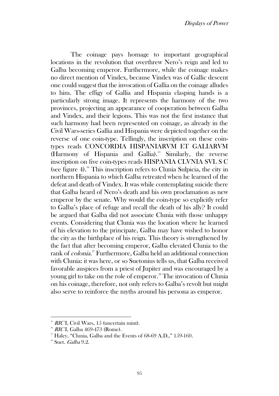The coinage pays homage to important geographical locations in the revolution that overthrew Nero's reign and led to Galba becoming emperor. Furthermore, while the coinage makes no direct mention of Vindex, because Vindex was of Gallic descent one could suggest that the invocation of Gallia on the coinage alludes to him. The effigy of Gallia and Hispania clasping hands is a particularly strong image. It represents the harmony of the two provinces, projecting an appearance of cooperation between Galba and Vindex, and their legions. This was not the first instance that such harmony had been represented on coinage, as already in the Civil Wars-series Gallia and Hispania were depicted together on the reverse of one coin-type. Tellingly, the inscription on these cointypes reads CONCORDIA HISPANIARVM ET GALIARVM (Harmony of Hispania and Gallia).<sup>35</sup> Similarly, the reverse inscription on five coin-types reads HISPANIA CLVNIA SVL S C (see figure 4). $\mathrm{36}$  This inscription refers to Clunia Sulpicia, the city in northern Hispania to which Galba retreated when he learned of the defeat and death of Vindex. It was while contemplating suicide there that Galba heard of Nero's death and his own proclamation as new emperor by the senate. Why would the coin-type so explicitly refer to Galba's place of refuge and recall the death of his ally? It could be argued that Galba did not associate Clunia with those unhappy events. Considering that Clunia was the location where he learned of his elevation to the principate, Galba may have wished to honor the city as the birthplace of his reign. This theory is strengthened by the fact that after becoming emperor, Galba elevated Clunia to the rank of *colonia*.<sup>37</sup> Furthermore, Galba held an additional connection with Clunia: it was here, or so Suetonius tells us, that Galba received favorable auspices from a priest of Jupiter and was encouraged by a young girl to take on the role of emperor.<sup>38</sup> The invocation of Clunia on his coinage, therefore, not only refers to Galba's revolt but might also serve to reinforce the myths around his persona as emperor.

 $35$  RICI, Civil Wars, 15 (uncertain mint).

 $^{36}$  RICI, Galba 469-473 (Rome).

<sup>&</sup>lt;sup>37</sup> Haley, "Clunia, Galba and the Events of 68-69 A.D.," 159-160.

 $\text{``Suet. } Galba 9.2.$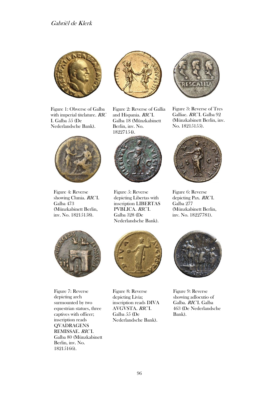

Figure 1: Obverse of Galba with imperial titelature. RIC I. Galba 55 (De Nederlandsche Bank).



Figure 4: Reverse showing Clunia. RIC I. Galba 473 (Münzkabinett Berlin, inv. No. 18215158).



Figure 2: Reverse of Gallia and Hispania. RIC I. Galba 18 (Münzkabinett Berlin, inv. No. 18227154).



Figure 5: Reverse depicting Libertas with inscription LIBERTAS PVBLICA. RIC I. Galba 328 (De Nederlandsche Bank).



Figure 3: Reverse of Tres Galliae. RIC I. Galba 92 (Münzkabinett Berlin, inv. No. 18215155).



Figure 6: Reverse depicting Pax. RICI. Galba 277 (Münzkabinett Berlin, inv. No. 18227781).



Figure 7: Reverse depicting arch surmounted by two equestrian statues, three captives with officer; inscription reads QVADRAGENS REMISSAE. RICI. Galba 80 (Münzkabinett Berlin, inv. No. 18215166).



Figure 8: Reverse depicting Livia; inscription reads DIVA AVGVSTA. RIC I. Galba 55 (De Nederlandsche Bank).



Figure 9: Reverse showing adlocutio of Galba. RIC I. Galba 463 (De Nederlandsche Bank).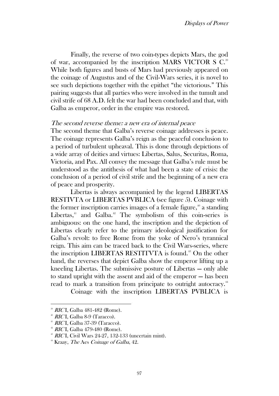Finally, the reverse of two coin-types depicts Mars, the god of war, accompanied by the inscription MARS VICTOR S C.<sup>39</sup> While both figures and busts of Mars had previously appeared on the coinage of Augustus and of the Civil-Wars series, it is novel to see such depictions together with the epithet "the victorious." This pairing suggests that all parties who were involved in the tumult and civil strife of 68 A.D. felt the war had been concluded and that, with Galba as emperor, order in the empire was restored.

#### The second reverse theme: a new era of internal peace

The second theme that Galba's reverse coinage addresses is peace. The coinage represents Galba's reign as the peaceful conclusion to a period of turbulent upheaval. This is done through depictions of a wide array of deities and virtues: Libertas, Salus, Securitas, Roma, Victoria, and Pax. All convey the message that Galba's rule must be understood as the antithesis of what had been a state of crisis: the conclusion of a period of civil strife and the beginning of a new era of peace and prosperity.

Libertas is always accompanied by the legend LIBERTAS RESTIVTA or LIBERTAS PVBLICA (see figure 5). Coinage with the former inscription carries images of a female figure,<sup> $#$ </sup> a standing Libertas, $41$  and Galba. $42$  The symbolism of this coin-series is ambiguous: on the one hand, the inscription and the depiction of Libertas clearly refer to the primary ideological justification for Galba's revolt: to free Rome from the yoke of Nero's tyrannical reign. This aim can be traced back to the Civil Wars-series, where the inscription LIBERTAS RESTITVTA is found.<sup>43</sup> On the other hand, the reverses that depict Galba show the emperor lifting up a kneeling Libertas. The submissive posture of Libertas — only able to stand upright with the assent and aid of the emperor — has been read to mark a transition from principate to outright autocracy.<sup>44</sup>

Coinage with the inscription LIBERTAS PVBLICA is

<sup>&</sup>lt;sup>39</sup> *RIC* I, Galba 481-482 (Rome).

<sup>&</sup>lt;sup>40</sup> RICI, Galba 8-9 (Taracco).

 $41$  RICI, Galba 37-39 (Taracco).

 $42$  RICI, Galba 479-480 (Rome).

 $^{43}$  RICI, Civil Wars 24-27, 132-133 (uncertain mint).

 $44$  Kraay, *The Aes Coinage of Galba*, 42.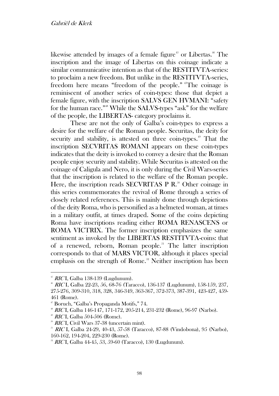likewise attended by images of a female figure<sup> $45$ </sup> or Libertas.<sup> $46$ </sup> The inscription and the image of Libertas on this coinage indicate a similar communicative intention as that of the RESTITVTA-series: to proclaim a new freedom. But unlike in the RESTITVTA-series, freedom here means "freedom of the people." <sup>47</sup>The coinage is reminiscent of another series of coin-types: those that depict a female figure, with the inscription SALVS GEN HVMANI: "safety for the human race." <sup>48</sup> While the SALVS-types "ask" for the welfare of the people, the LIBERTAS- category proclaims it.

These are not the only of Galba's coin-types to express a desire for the welfare of the Roman people. Securitas, the deity for security and stability, is attested on three coin-types.<sup>49</sup> That the inscription SECVRITAS ROMANI appears on these coin-types indicates that the deity is invoked to convey a desire that the Roman people enjoy security and stability. While Securitas is attested on the coinage of Caligula and Nero, it is only during the Civil Wars-series that the inscription is related to the welfare of the Roman people. Here, the inscription reads SECVRITAS P  $\mathbb{R}^3$  Other coinage in this series commemorates the revival of Rome through a series of closely related references. This is mainly done through depictions of the deity Roma, who is personified as a helmeted woman, at times in a military outfit, at times draped. Some of the coins depicting Roma have inscriptions reading either ROMA RENASCENS or ROMA VICTRIX. The former inscription emphasizes the same sentiment as invoked by the LIBERTAS RESTITVTA-coins: that of a renewed, reborn, Roman people.<sup>51</sup> The latter inscription corresponds to that of MARS VICTOR, although it places special emphasis on the strength of Rome.<sup>52</sup> Neither inscription has been

 $45$  RICI, Galba 138-139 (Lugdunum).

 $^{*}$  RIC I, Galba 22-23, 56, 68-76 (Taracco), 136-137 (Lugdunum), 158-159, 237, 275-276, 309-310, 318, 328, 346-349, 363-367, 372-373, 387-391, 423-427, 459- 461 (Rome).

<sup>47</sup> Boruch, "Galba's Propaganda Motifs," 74.

 $^{48}$  RICI, Galba 146-147, 171-172, 205-214, 231-232 (Rome), 96-97 (Narbo).

 $49$  RICI, Galba 504-506 (Rome).

<sup>&</sup>lt;sup>50</sup> RICI, Civil Wars 37-38 (uncertain mint).

<sup>&</sup>lt;sup>51</sup> RIC I, Galba 24-29, 40-43, 57-58 (Taracco), 87-88 (Vindobona), 95 (Narbo), 160-162, 194-204, 229-230 (Rome).

 $^{22}$  RICI, Galba 44-45, 53, 59-60 (Taracco), 130 (Lugdunum).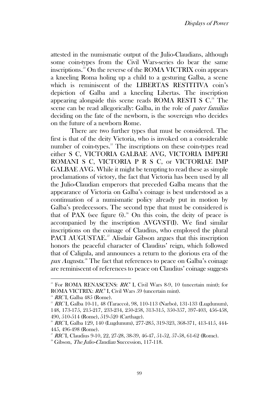attested in the numismatic output of the Julio-Claudians, although some coin-types from the Civil Wars-series do bear the same inscriptions. <sup>53</sup> On the reverse of the ROMA VICTRIX coin appears a kneeling Roma holing up a child to a gesturing Galba, a scene which is reminiscent of the LIBERTAS RESTITIVA coin's depiction of Galba and a kneeling Libertas. The inscription appearing alongside this scene reads ROMA RESTI S  $C<sup>34</sup>$  The scene can be read allegorically: Galba, in the role of pater familias deciding on the fate of the newborn, is the sovereign who decides on the future of a newborn Rome.

There are two further types that must be considered. The first is that of the deity Victoria, who is invoked on a considerable number of coin-types.<sup>55</sup> The inscriptions on these coin-types read either S C, VICTORIA GALBAE AVG, VICTORIA IMPERI ROMANI S C, VICTORIA P R S C, or VICTORIAE IMP GALBAE AVG. While it might be tempting to read these as simple proclamations of victory, the fact that Victoria has been used by all the Julio-Claudian emperors that preceded Galba means that the appearance of Victoria on Galba's coinage is best understood as a continuation of a numismatic policy already put in motion by Galba's predecessors. The second type that must be considered is that of PAX (see figure 6).<sup>56</sup> On this coin, the deity of peace is accompanied by the inscription AVGVST(I). We find similar inscriptions on the coinage of Claudius, who employed the plural PACI AUGUSTAE.<sup>57</sup> Alisdair Gibson argues that this inscription honors the peaceful character of Claudius' reign, which followed that of Caligula, and announces a return to the glorious era of the pax Augusta.<sup>38</sup> The fact that references to peace on Galba's coinage are reminiscent of references to peace on Claudius' coinage suggests

 $^{53}$  For ROMA RENASCENS:  $RIC<sup>2</sup>$  I, Civil Wars 8-9, 10 (uncertain mint); for ROMA VICTRIX: RIC<sup>2</sup> I, Civil Wars 59 (uncertain mint).

 $^{54}$  *RIC* I, Galba 485 (Rome).

 $^{55}$  RICI, Galba 10-11, 48 (Taracco), 98, 110-113 (Narbo), 131-133 (Lugdunum), 148, 173-175, 215-217, 233-234, 250-258, 313-315, 350-357, 397-403, 456-458, 490, 510-514 (Rome), 519-520 (Carthage).

<sup>56</sup> RIC I, Galba 129, 140 (Lugdunum), 277-285, 319-323, 368-371, 413-415, 444- 445, 496-498 (Rome).

<sup>&</sup>lt;sup>57</sup> RICI, Claudius 9-10, 22, 27-28, 38-39, 46-47, 51-52, 57-58, 61-62 (Rome).

<sup>&</sup>lt;sup>58</sup> Gibson, *The Julio-Claudian* Succession, 117-118.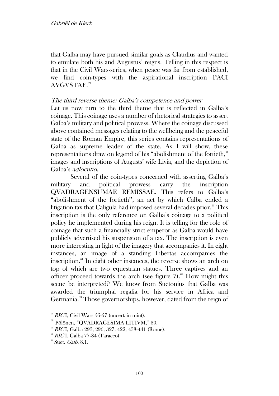that Galba may have pursued similar goals as Claudius and wanted to emulate both his and Augustus' reigns. Telling in this respect is that in the Civil Wars-series, when peace was far from established, we find coin-types with the aspirational inscription PACI AVGVSTAE.<sup>59</sup>

## The third reverse theme: Galba's competence and power

Let us now turn to the third theme that is reflected in Galba's coinage. This coinage uses a number of rhetorical strategies to assert Galba's military and political prowess. Where the coinage discussed above contained messages relating to the wellbeing and the peaceful state of the Roman Empire, this series contains representations of Galba as supreme leader of the state. As I will show, these representations draw on legend of his "abolishment of the fortieth," images and inscriptions of Augusts' wife Livia, and the depiction of Galba's adlocutio.

Several of the coin-types concerned with asserting Galba's military and political prowess carry the inscription QVADRAGENSUMAE REMISSAE. This refers to Galba's "abolishment of the fortieth'', an act by which Calba ended a litigation tax that Caligula had imposed several decades prior.<sup>60</sup> This inscription is the only reference on Galba's coinage to a political policy he implemented during his reign. It is telling for the role of coinage that such a financially strict emperor as Galba would have publicly advertised his suspension of a tax. The inscription is even more interesting in light of the imagery that accompanies it. In eight instances, an image of a standing Libertas accompanies the inscription.<sup>61</sup> In eight other instances, the reverse shows an arch on top of which are two equestrian statues. Three captives and an officer proceed towards the arch (see figure 7).<sup>62</sup> How might this scene be interpreted? We know from Suetonius that Galba was awarded the triumphal regalia for his service in Africa and Germania.<sup>63</sup> Those governorships, however, dated from the reign of

 $^{59}$  RICI, Civil Wars 56-57 (uncertain mint).

<sup>60</sup> Pölönen, "QVADRAGESIMA LITIVM," 80.

 $61$  RICI, Galba 293, 296, 327, 422, 438-441 (Rome).

 $^{62}$  RICI, Galba 77-84 (Taracco).

 $\textdegree$  Suet. *Galb.* 8.1.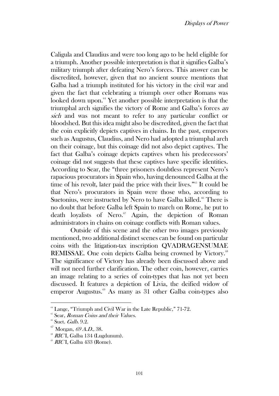Caligula and Claudius and were too long ago to be held eligible for a triumph. Another possible interpretation is that it signifies Galba's military triumph after defeating Nero's forces. This answer can be discredited, however, given that no ancient source mentions that Galba had a triumph instituted for his victory in the civil war and given the fact that celebrating a triumph over other Romans was looked down upon.<sup>64</sup> Yet another possible interpretation is that the triumphal arch signifies the victory of Rome and Galba's forces an sich and was not meant to refer to any particular conflict or bloodshed. But this idea might also be discredited, given the fact that the coin explicitly depicts captives in chains. In the past, emperors such as Augustus, Claudius, and Nero had adopted a triumphal arch on their coinage, but this coinage did not also depict captives. The fact that Galba's coinage depicts captives when his predecessors' coinage did not suggests that these captives have specific identities. According to Sear, the "three prisoners doubtless represent Nero's rapacious procurators in Spain who, having denounced Galba at the time of his revolt, later paid the price with their lives."<sup>65</sup> It could be that Nero's procurators in Spain were those who, according to Suetonius, were instructed by Nero to have Galba killed.<sup>66</sup> There is no doubt that before Galba left Spain to march on Rome, he put to death loyalists of Nero.<sup>67</sup> Again, the depiction of Roman administrators in chains on coinage conflicts with Roman values.

Outside of this scene and the other two images previously mentioned, two additional distinct scenes can be found on particular coins with the litigation-tax inscription QVADRAGENSUMAE REMISSAE. One coin depicts Galba being crowned by Victory.<sup>68</sup> The significance of Victory has already been discussed above and will not need further clarification. The other coin, however, carries an image relating to a series of coin-types that has not yet been discussed. It features a depiction of Livia, the deified widow of emperor Augustus.<sup>69</sup> As many as 31 other Galba coin-types also

<sup>&</sup>lt;sup>64</sup> Lange, "Triumph and Civil War in the Late Republic," 71-72.

<sup>&</sup>lt;sup>65</sup> Sear, Roman Coins and their Values.

 $66$  Suet. *Galb.* 9.2.

Morgan, 69 A.D., 38.

 $\textdegree$  RICI, Galba 134 (Lugdunum).

 $\degree$  RICI, Galba 433 (Rome).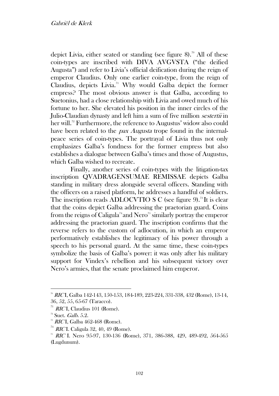depict Livia, either seated or standing (see figure 8).<sup>70</sup> All of these coin-types are inscribed with DIVA AVGVSTA ("the deified Augusta") and refer to Livia's official deification during the reign of emperor Claudius. Only one earlier coin-type, from the reign of Claudius, depicts Livia.<sup>71</sup> Why would Galba depict the former empress? The most obvious answer is that Galba, according to Suetonius, had a close relationship with Livia and owed much of his fortune to her. She elevated his position in the inner circles of the Julio-Claudian dynasty and left him a sum of five million *sestertii* in her will.<sup>72</sup> Furthermore, the reference to Augustus' widow also could have been related to the *pax Augusta* trope found in the internalpeace series of coin-types. The portrayal of Livia thus not only emphasizes Galba's fondness for the former empress but also establishes a dialogue between Galba's times and those of Augustus, which Galba wished to recreate.

Finally, another series of coin-types with the litigation-tax inscription QVADRAGENSUMAE REMISSAE depicts Galba standing in military dress alongside several officers. Standing with the officers on a raised platform, he addresses a handful of soldiers. The inscription reads ADLOCVTIO S C (see figure 9).<sup>73</sup>It is clear that the coins depict Galba addressing the praetorian guard. Coins from the reigns of Caligula<sup>74</sup> and Nero<sup>75</sup> similarly portray the emperor addressing the praetorian guard. The inscription confirms that the reverse refers to the custom of adlocution, in which an emperor performatively establishes the legitimacy of his power through a speech to his personal guard. At the same time, these coin-types symbolize the basis of Galba's power: it was only after his military support for Vindex's rebellion and his subsequent victory over Nero's armies, that the senate proclaimed him emperor.

<sup>70</sup> RIC I, Galba 142-143, 150-153, 184-189, 223-224, 331-338, 432 (Rome), 13-14, 36, 52, 55, 65-67 (Taracco).

 $71$  *RIC* I, Claudius 101 (Rome).

 $72$  Suet. *Galb.* 5.2.

 $73$  RICI, Galba 462-468 (Rome).

 $74$  *RIC* I. Caligula 32, 40, 49 (Rome).

<sup>&</sup>lt;sup>75</sup> RIC I. Nero 95-97, 130-136 (Rome), 371, 386-388, 429, 489-492, 564-565 (Lugdunum).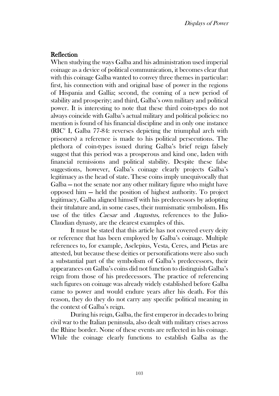## Reflection

When studying the ways Galba and his administration used imperial coinage as a device of political communication, it becomes clear that with this coinage Galba wanted to convey three themes in particular: first, his connection with and original base of power in the regions of Hispania and Gallia; second, the coming of a new period of stability and prosperity; and third, Galba's own military and political power. It is interesting to note that these third coin-types do not always coincide with Galba's actual military and political policies: no mention is found of his financial discipline and in only one instance  $(RIC<sup>2</sup> I, Galba 77-84: reverses depicting the triumphal arch with$ prisoners) a reference is made to his political persecutions. The plethora of coin-types issued during Galba's brief reign falsely suggest that this period was a prosperous and kind one, laden with financial remissions and political stability. Despite these false suggestions, however, Galba's coinage clearly projects Galba's legitimacy as the head of state. These coins imply unequivocally that Galba — not the senate nor any other military figure who might have opposed him — held the position of highest authority. To project legitimacy, Galba aligned himself with his predecessors by adopting their titulature and, in some cases, their numismatic symbolism. His use of the titles *Caesar* and *Augustus*, references to the Julio-Claudian dynasty, are the clearest examples of this.

It must be stated that this article has not covered every deity or reference that has been employed by Galba's coinage. Multiple references to, for example, Asclepius, Vesta, Ceres, and Pietas are attested, but because these deities or personifications were also such a substantial part of the symbolism of Galba's predecessors, their appearances on Galba's coins did not function to distinguish Galba's reign from those of his predecessors. The practice of referencing such figures on coinage was already widely established before Galba came to power and would endure years after his death. For this reason, they do they do not carry any specific political meaning in the context of Galba's reign.

During his reign, Galba, the first emperor in decades to bring civil war to the Italian peninsula, also dealt with military crises across the Rhine border. None of these events are reflected in his coinage. While the coinage clearly functions to establish Galba as the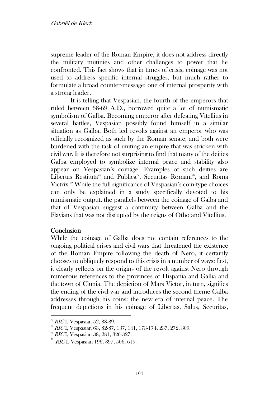supreme leader of the Roman Empire, it does not address directly the military mutinies and other challenges to power that he confronted. This fact shows that in times of crisis, coinage was not used to address specific internal struggles, but much rather to formulate a broad counter-message: one of internal prosperity with a strong leader.

It is telling that Vespasian, the fourth of the emperors that ruled between 68-69 A.D., borrowed quite a lot of numismatic symbolism of Galba. Becoming emperor after defeating Vitellius in several battles, Vespasian possibly found himself in a similar situation as Galba. Both led revolts against an emperor who was officially recognized as such by the Roman senate, and both were burdened with the task of uniting an empire that was stricken with civil war. It is therefore not surprising to find that many of the deities Galba employed to symbolize internal peace and stability also appear on Vespasian's coinage. Examples of such deities are Libertas Restituta<sup>76</sup> and Publica<sup>77</sup>, Securitas Romani<sup>78</sup>, and Roma Victrix.<sup>79</sup> While the full significance of Vespasian's coin-type choices can only be explained in a study specifically devoted to his numismatic output, the parallels between the coinage of Galba and that of Vespasian suggest a continuity between Galba and the Flavians that was not disrupted by the reigns of Otho and Vitellius.

## **Conclusion**

While the coinage of Galba does not contain references to the ongoing political crises and civil wars that threatened the existence of the Roman Empire following the death of Nero, it certainly chooses to obliquely respond to this crisis in a number of ways: first, it clearly reflects on the origins of the revolt against Nero through numerous references to the provinces of Hispania and Gallia and the town of Clunia. The depiction of Mars Victor, in turn, signifies the ending of the civil war and introduces the second theme Galba addresses through his coins: the new era of internal peace. The frequent depictions in his coinage of Libertas, Salus, Securitas,

 $\frac{76}{6}$  RICI, Vespasian 52, 88-89.

<sup>77</sup> RIC I, Vespasian 63, 82-87, 137, 141, 173-174, 237, 272, 309.

<sup>&</sup>lt;sup>78</sup> RICI, Vespasian 38, 281, 326-327.

 $79$  RICI, Vespasian 196, 397, 506, 619.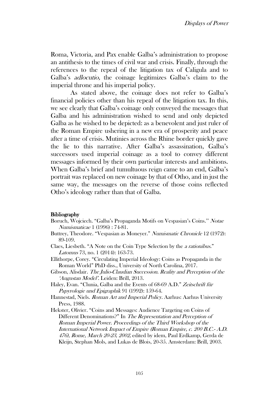Roma, Victoria, and Pax enable Galba's administration to propose an antithesis to the times of civil war and crisis. Finally, through the references to the repeal of the litigation tax of Caligula and to Galba's adlocutio, the coinage legitimizes Galba's claim to the imperial throne and his imperial policy.

As stated above, the coinage does not refer to Galba's financial policies other than his repeal of the litigation tax. In this, we see clearly that Galba's coinage only conveyed the messages that Galba and his administration wished to send and only depicted Galba as he wished to be depicted: as a benevolent and just ruler of the Roman Empire ushering in a new era of prosperity and peace after a time of crisis. Mutinies across the Rhine border quickly gave the lie to this narrative. After Galba's assassination, Galba's successors used imperial coinage as a tool to convey different messages informed by their own particular interests and ambitions. When Galba's brief and tumultuous reign came to an end, Galba's portrait was replaced on new coinage by that of Otho, and in just the same way, the messages on the reverse of those coins reflected Otho's ideology rather than that of Galba.

#### Bibliography

- Boruch, Wojciech. "Galba's Propaganda Motifs on Vespasian's Coins.'' Notae Numismaticae 1 (1996) : 74-81.
- Buttrey, Theodore. "Vespasian as Moneyer." Numismatic Chronicle 12 (1972): 89-109.
- Claes, Liesbeth. "A Note on the Coin Type Selection by the a rationibus." Latomus 73, no. 1 (2014): 163-73.
- Ellithorpe, Corey. "Circulating Imperial Ideology: Coins as Propaganda in the Roman World" PhD diss., University of North Carolina, 2017.
- Gibson, Alisdair. The Julio-Claudian Succession. Reality and Perception of the 'Augustan Model'. Leiden: Brill, 2013.
- Haley, Evan. "Clunia, Galba and the Events of 68-69 A.D." Zeitschrift für Papyrologie und Epigraphik 91 (1992): 159-64.
- Hannestad, Niels. Roman Art and Imperial Policy. Aarhus: Aarhus University Press, 1988.
- Hekster, Olivier. "Coins and Messages: Audience Targeting on Coins of Different Denominations?" In The Representation and Perception of Roman Imperial Power. Proceedings of the Third Workshop of the International Network Impact of Empire (Roman Empire, c. 200 B.C.- A.D. 476), Rome, March 20-23, 2002, edited by idem, Paul Erdkamp, Gerda de Kleijn, Stephan Mols, and Lukas de Blois, 20-35. Amsterdam: Brill, 2003.